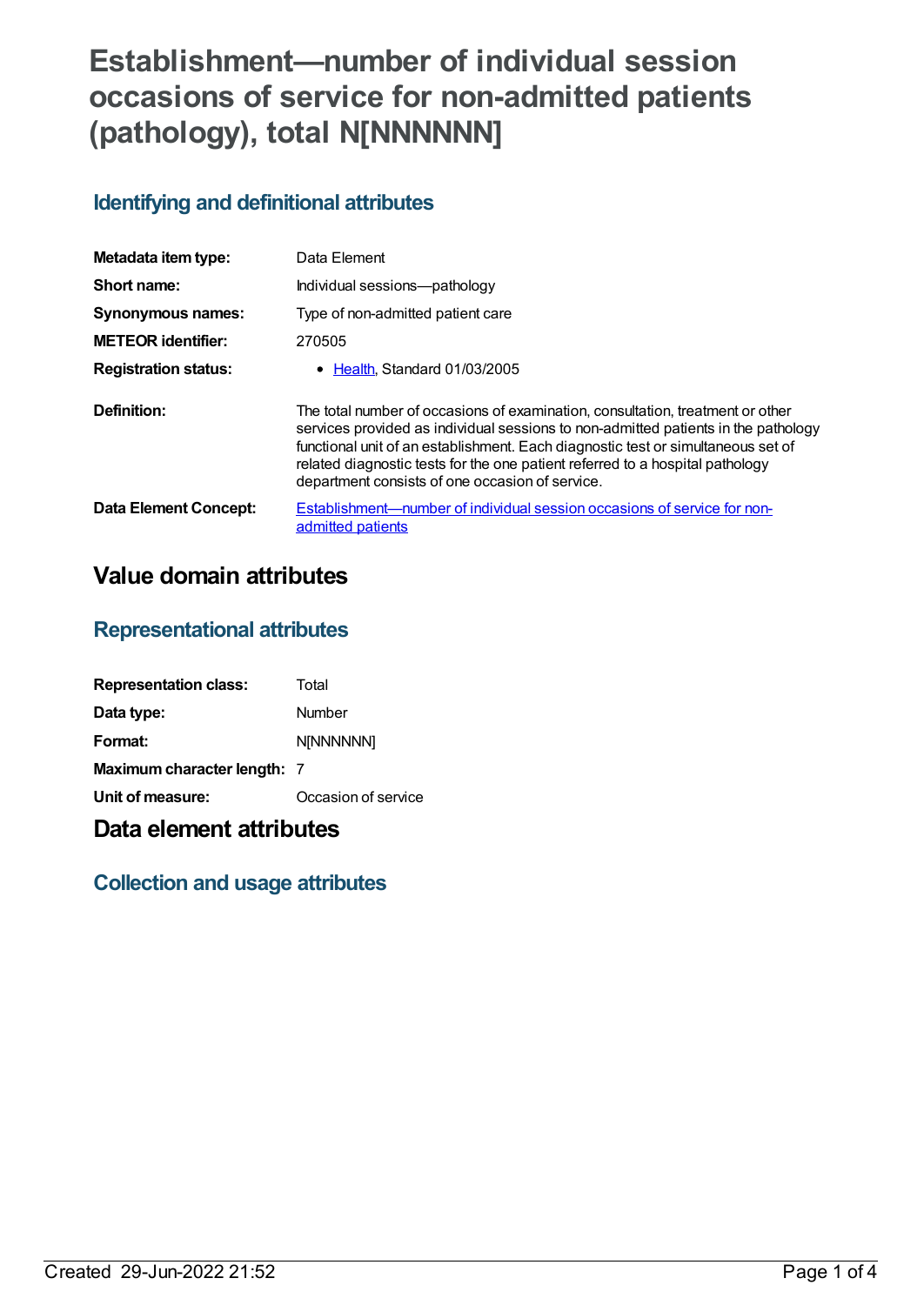# **Establishment—number of individual session occasions of service for non-admitted patients (pathology), total N[NNNNNN]**

#### **Identifying and definitional attributes**

| Metadata item type:         | Data Element                                                                                                                                                                                                                                                                                                                                                                                 |
|-----------------------------|----------------------------------------------------------------------------------------------------------------------------------------------------------------------------------------------------------------------------------------------------------------------------------------------------------------------------------------------------------------------------------------------|
| Short name:                 | Individual sessions-pathology                                                                                                                                                                                                                                                                                                                                                                |
| Synonymous names:           | Type of non-admitted patient care                                                                                                                                                                                                                                                                                                                                                            |
| <b>METEOR identifier:</b>   | 270505                                                                                                                                                                                                                                                                                                                                                                                       |
| <b>Registration status:</b> | • Health Standard 01/03/2005                                                                                                                                                                                                                                                                                                                                                                 |
| Definition:                 | The total number of occasions of examination, consultation, treatment or other<br>services provided as individual sessions to non-admitted patients in the pathology<br>functional unit of an establishment. Each diagnostic test or simultaneous set of<br>related diagnostic tests for the one patient referred to a hospital pathology<br>department consists of one occasion of service. |
| Data Element Concept:       | Establishment—number of individual session occasions of service for non-<br>admitted patients                                                                                                                                                                                                                                                                                                |

## **Value domain attributes**

#### **Representational attributes**

| <b>Representation class:</b>       | Total               |
|------------------------------------|---------------------|
| Data type:                         | Number              |
| Format:                            | N[NNNNNN]           |
| <b>Maximum character length: 7</b> |                     |
| Unit of measure:                   | Occasion of service |

### **Data element attributes**

#### **Collection and usage attributes**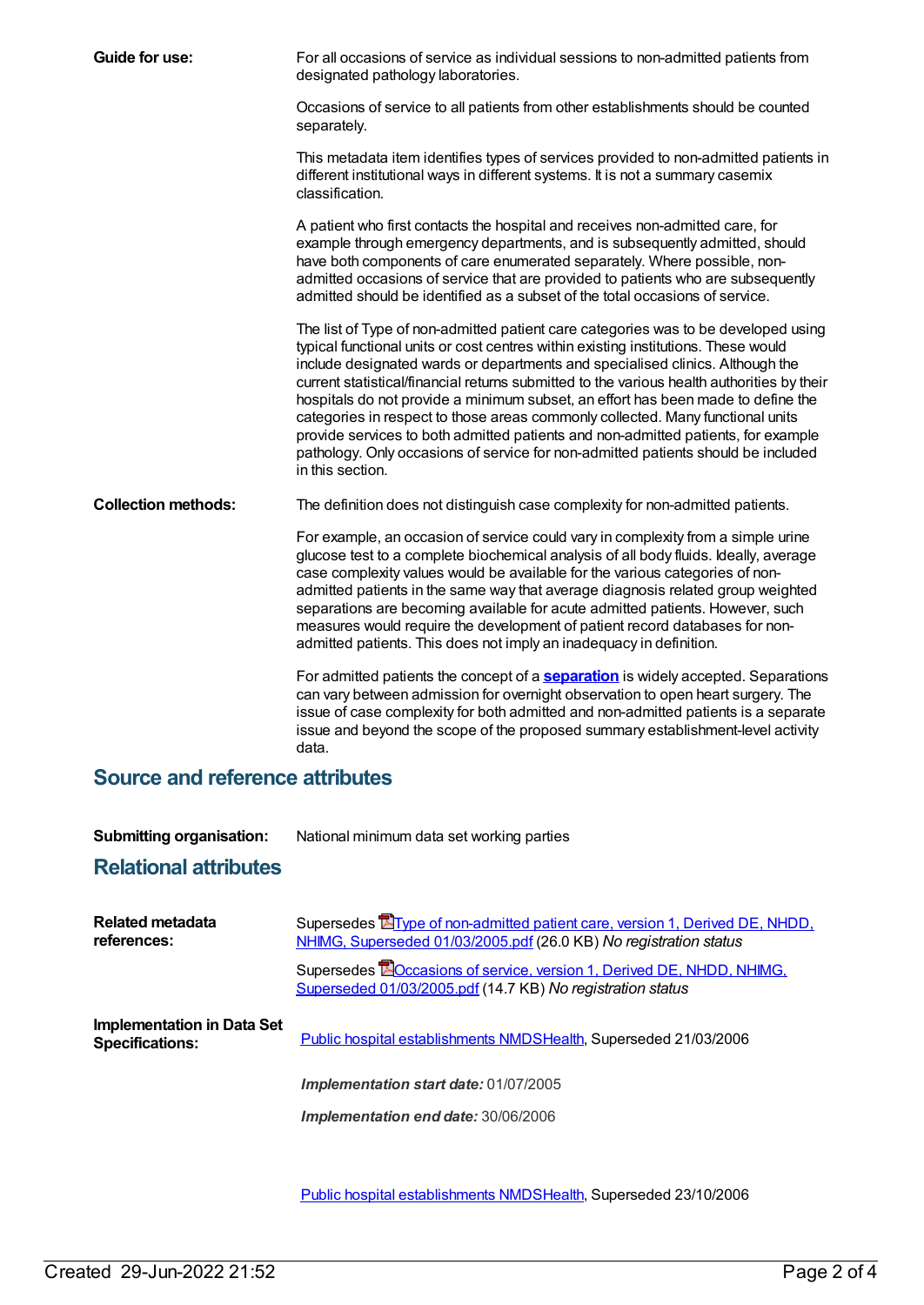| Guide for use:                         | For all occasions of service as individual sessions to non-admitted patients from<br>designated pathology laboratories.                                                                                                                                                                                                                                                                                                                                                                                                                                                                                                                                                                                                     |  |
|----------------------------------------|-----------------------------------------------------------------------------------------------------------------------------------------------------------------------------------------------------------------------------------------------------------------------------------------------------------------------------------------------------------------------------------------------------------------------------------------------------------------------------------------------------------------------------------------------------------------------------------------------------------------------------------------------------------------------------------------------------------------------------|--|
|                                        | Occasions of service to all patients from other establishments should be counted<br>separately.                                                                                                                                                                                                                                                                                                                                                                                                                                                                                                                                                                                                                             |  |
|                                        | This metadata item identifies types of services provided to non-admitted patients in<br>different institutional ways in different systems. It is not a summary casemix<br>classification.                                                                                                                                                                                                                                                                                                                                                                                                                                                                                                                                   |  |
|                                        | A patient who first contacts the hospital and receives non-admitted care, for<br>example through emergency departments, and is subsequently admitted, should<br>have both components of care enumerated separately. Where possible, non-<br>admitted occasions of service that are provided to patients who are subsequently<br>admitted should be identified as a subset of the total occasions of service.                                                                                                                                                                                                                                                                                                                |  |
|                                        | The list of Type of non-admitted patient care categories was to be developed using<br>typical functional units or cost centres within existing institutions. These would<br>include designated wards or departments and specialised clinics. Although the<br>current statistical/financial returns submitted to the various health authorities by their<br>hospitals do not provide a minimum subset, an effort has been made to define the<br>categories in respect to those areas commonly collected. Many functional units<br>provide services to both admitted patients and non-admitted patients, for example<br>pathology. Only occasions of service for non-admitted patients should be included<br>in this section. |  |
| <b>Collection methods:</b>             | The definition does not distinguish case complexity for non-admitted patients.                                                                                                                                                                                                                                                                                                                                                                                                                                                                                                                                                                                                                                              |  |
|                                        | For example, an occasion of service could vary in complexity from a simple urine<br>glucose test to a complete biochemical analysis of all body fluids. Ideally, average<br>case complexity values would be available for the various categories of non-<br>admitted patients in the same way that average diagnosis related group weighted<br>separations are becoming available for acute admitted patients. However, such<br>measures would require the development of patient record databases for non-<br>admitted patients. This does not imply an inadequacy in definition.                                                                                                                                          |  |
|                                        | For admitted patients the concept of a <b>separation</b> is widely accepted. Separations<br>can vary between admission for overnight observation to open heart surgery. The<br>issue of case complexity for both admitted and non-admitted patients is a separate<br>issue and beyond the scope of the proposed summary establishment-level activity<br>data.                                                                                                                                                                                                                                                                                                                                                               |  |
| <b>Source and reference attributes</b> |                                                                                                                                                                                                                                                                                                                                                                                                                                                                                                                                                                                                                                                                                                                             |  |

| <b>Submitting organisation:</b> | National minimum data set working parties |
|---------------------------------|-------------------------------------------|
|---------------------------------|-------------------------------------------|

#### **Relational attributes**

| <b>Related metadata</b><br>references:               | Supersedes <b>E</b> Type of non-admitted patient care, version 1, Derived DE, NHDD,<br>NHIMG, Superseded 01/03/2005.pdf (26.0 KB) No registration status |
|------------------------------------------------------|----------------------------------------------------------------------------------------------------------------------------------------------------------|
|                                                      | Supersedes <b>EO</b> ccasions of service, version 1, Derived DE, NHDD, NHIMG,<br>Superseded 01/03/2005.pdf (14.7 KB) No registration status              |
| Implementation in Data Set<br><b>Specifications:</b> | Public hospital establishments NMDSHealth, Superseded 21/03/2006                                                                                         |
|                                                      | Implementation start date: 01/07/2005                                                                                                                    |
|                                                      | Implementation end date: 30/06/2006                                                                                                                      |
|                                                      |                                                                                                                                                          |

Public hospital [establishments](https://meteor.aihw.gov.au/content/334285) NMDS[Health](https://meteor.aihw.gov.au/RegistrationAuthority/12), Superseded 23/10/2006